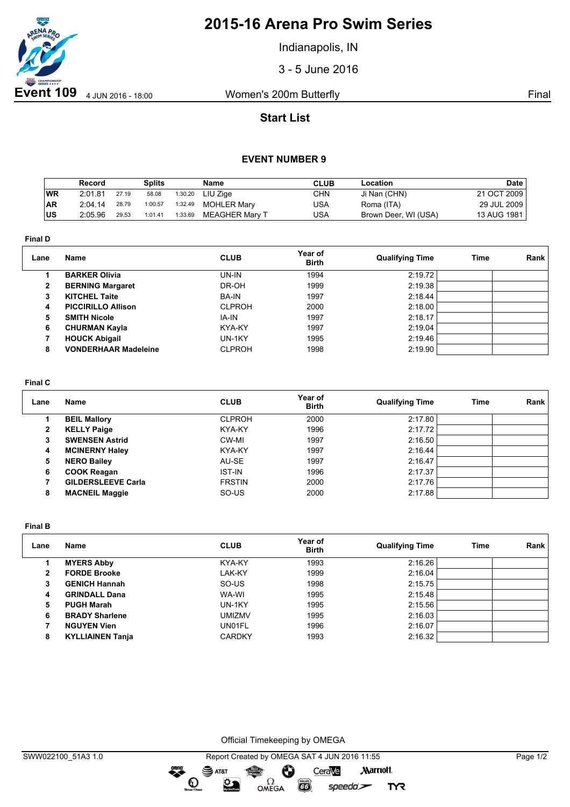

# **2015-16 Arena Pro Swim Series**

Indianapolis, IN

3 - 5 June 2016

## **Start List**

### **EVENT NUMBER 9**

|            | Record  |       | <b>Splits</b> |         | Name               | <b>CLUB</b> | Location             | <b>Date</b>   |
|------------|---------|-------|---------------|---------|--------------------|-------------|----------------------|---------------|
| WR         | 2:01.81 | 27.19 | 58.08         | 1:30.20 | LIU Ziae           | <b>CHN</b>  | Ji Nan (CHN)         | 21 OCT 2009   |
| <b>AR</b>  | 2:04.14 | 28.79 | 1:00.57       | 1:32.49 | <b>MOHLER Mary</b> | USA         | Roma (ITA)           | 29 JUL 2009 i |
| <b>IUS</b> | 2:05.96 | 29.53 | 1:01.41       | 1:33.69 | MEAGHER Marv T     | USA         | Brown Deer, WI (USA) | 13 AUG 1981   |

**Final D**

| Lane         | Name                        | <b>CLUB</b>   | Year of<br><b>Birth</b> | <b>Qualifying Time</b> | Time | Rank |
|--------------|-----------------------------|---------------|-------------------------|------------------------|------|------|
|              | <b>BARKER Olivia</b>        | UN-IN         | 1994                    | 2:19.72                |      |      |
| $\mathbf{2}$ | <b>BERNING Margaret</b>     | DR-OH         | 1999                    | 2:19.38                |      |      |
| 3            | <b>KITCHEL Taite</b>        | <b>BA-IN</b>  | 1997                    | 2:18.44                |      |      |
| 4            | <b>PICCIRILLO Allison</b>   | <b>CLPROH</b> | 2000                    | 2:18.00                |      |      |
| 5            | <b>SMITH Nicole</b>         | IA-IN         | 1997                    | 2:18.17                |      |      |
| 6            | <b>CHURMAN Kayla</b>        | KYA-KY        | 1997                    | 2:19.04                |      |      |
|              | <b>HOUCK Abigail</b>        | UN-1KY        | 1995                    | 2:19.46                |      |      |
| 8            | <b>VONDERHAAR Madeleine</b> | <b>CLPROH</b> | 1998                    | 2:19.90                |      |      |

#### **Final C**

| Lane | Name                      | <b>CLUB</b>   | Year of<br><b>Birth</b> | <b>Qualifying Time</b> | Time | Rank |
|------|---------------------------|---------------|-------------------------|------------------------|------|------|
|      | <b>BEIL Mallory</b>       | <b>CLPROH</b> | 2000                    | 2:17.80                |      |      |
| 2    | <b>KELLY Paige</b>        | KYA-KY        | 1996                    | 2:17.72                |      |      |
| 3    | <b>SWENSEN Astrid</b>     | CW-MI         | 1997                    | 2:16.50                |      |      |
| 4    | <b>MCINERNY Haley</b>     | KYA-KY        | 1997                    | 2:16.44                |      |      |
| 5    | <b>NERO Bailey</b>        | AU-SE         | 1997                    | 2:16.47                |      |      |
| 6    | <b>COOK Reagan</b>        | <b>IST-IN</b> | 1996                    | 2:17.37                |      |      |
|      | <b>GILDERSLEEVE Carla</b> | <b>FRSTIN</b> | 2000                    | 2:17.76                |      |      |
| 8    | <b>MACNEIL Maggie</b>     | SO-US         | 2000                    | 2:17.88                |      |      |

**Final B**

| Lane | Name                    | <b>CLUB</b>   | Year of<br><b>Birth</b> | <b>Qualifying Time</b> | Time | Rank |
|------|-------------------------|---------------|-------------------------|------------------------|------|------|
|      | <b>MYERS Abby</b>       | KYA-KY        | 1993                    | 2:16.26                |      |      |
| 2    | <b>FORDE Brooke</b>     | LAK-KY        | 1999                    | 2:16.04                |      |      |
| 3    | <b>GENICH Hannah</b>    | SO-US         | 1998                    | 2:15.75                |      |      |
| 4    | <b>GRINDALL Dana</b>    | WA-WI         | 1995                    | 2:15.48                |      |      |
| 5    | <b>PUGH Marah</b>       | UN-1KY        | 1995                    | 2:15.56                |      |      |
| 6    | <b>BRADY Sharlene</b>   | <b>UMIZMV</b> | 1995                    | 2:16.03                |      |      |
|      | <b>NGUYEN Vien</b>      | UN01FL        | 1996                    | 2:16.07                |      |      |
| 8    | <b>KYLLIAINEN Tanja</b> | <b>CARDKY</b> | 1993                    | 2:16.32                |      |      |

Official Timekeeping by OMEGA

 $\overline{G}$ 

 $speedo$ 

**TYR** 

OMEGA

dreng:

 $\mathbf{O}$ 

 $\mathfrak{D}$